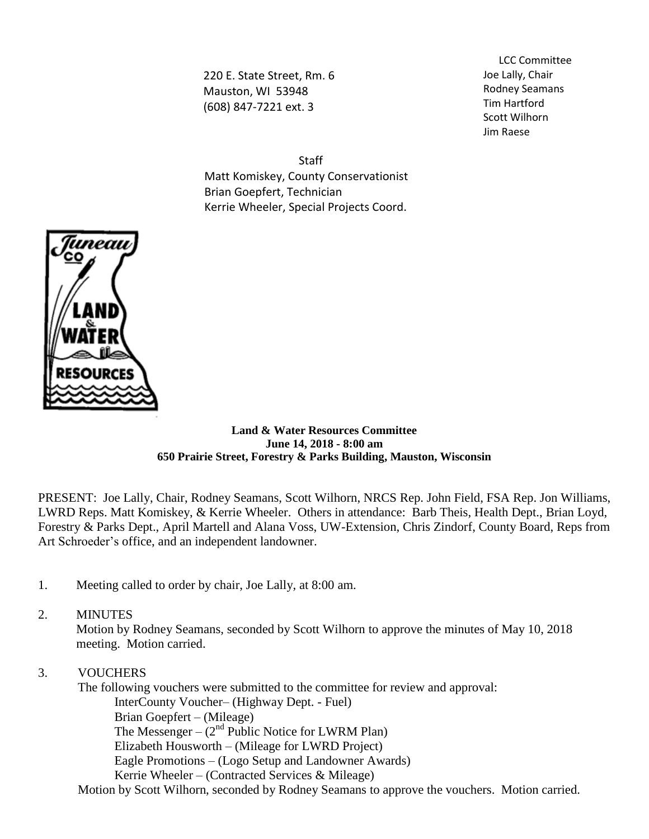220 E. State Street, Rm. 6 Mauston, WI 53948 (608) 847-7221 ext. 3

LCC Committee Joe Lally, Chair Rodney Seamans Tim Hartford Scott Wilhorn Jim Raese

Staff Matt Komiskey, County Conservationist Brian Goepfert, Technician Kerrie Wheeler, Special Projects Coord.



#### **Land & Water Resources Committee June 14, 2018 - 8:00 am 650 Prairie Street, Forestry & Parks Building, Mauston, Wisconsin**

PRESENT: Joe Lally, Chair, Rodney Seamans, Scott Wilhorn, NRCS Rep. John Field, FSA Rep. Jon Williams, LWRD Reps. Matt Komiskey, & Kerrie Wheeler. Others in attendance: Barb Theis, Health Dept., Brian Loyd, Forestry & Parks Dept., April Martell and Alana Voss, UW-Extension, Chris Zindorf, County Board, Reps from Art Schroeder's office, and an independent landowner.

- 1. Meeting called to order by chair, Joe Lally, at 8:00 am.
- 2. MINUTES

Motion by Rodney Seamans, seconded by Scott Wilhorn to approve the minutes of May 10, 2018 meeting. Motion carried.

3. VOUCHERS

The following vouchers were submitted to the committee for review and approval: InterCounty Voucher– (Highway Dept. - Fuel) Brian Goepfert – (Mileage) The Messenger –  $(2<sup>nd</sup>$  Public Notice for LWRM Plan) Elizabeth Housworth – (Mileage for LWRD Project) Eagle Promotions – (Logo Setup and Landowner Awards)

Kerrie Wheeler – (Contracted Services & Mileage)

Motion by Scott Wilhorn, seconded by Rodney Seamans to approve the vouchers. Motion carried.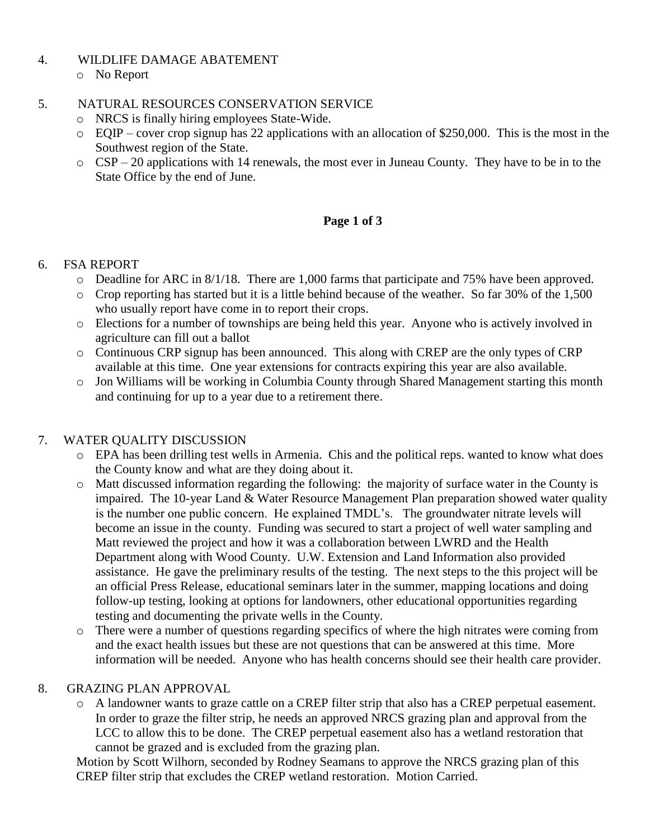#### 4. WILDLIFE DAMAGE ABATEMENT

o No Report

#### 5. NATURAL RESOURCES CONSERVATION SERVICE

- o NRCS is finally hiring employees State-Wide.
- o EQIP cover crop signup has 22 applications with an allocation of \$250,000. This is the most in the Southwest region of the State.
- o CSP 20 applications with 14 renewals, the most ever in Juneau County. They have to be in to the State Office by the end of June.

# **Page 1 of 3**

## 6. FSA REPORT

- o Deadline for ARC in 8/1/18. There are 1,000 farms that participate and 75% have been approved.
- o Crop reporting has started but it is a little behind because of the weather. So far 30% of the 1,500 who usually report have come in to report their crops.
- o Elections for a number of townships are being held this year. Anyone who is actively involved in agriculture can fill out a ballot
- o Continuous CRP signup has been announced. This along with CREP are the only types of CRP available at this time. One year extensions for contracts expiring this year are also available.
- o Jon Williams will be working in Columbia County through Shared Management starting this month and continuing for up to a year due to a retirement there.

# 7. WATER QUALITY DISCUSSION

- o EPA has been drilling test wells in Armenia. Chis and the political reps. wanted to know what does the County know and what are they doing about it.
- o Matt discussed information regarding the following: the majority of surface water in the County is impaired. The 10-year Land & Water Resource Management Plan preparation showed water quality is the number one public concern. He explained TMDL's. The groundwater nitrate levels will become an issue in the county. Funding was secured to start a project of well water sampling and Matt reviewed the project and how it was a collaboration between LWRD and the Health Department along with Wood County. U.W. Extension and Land Information also provided assistance. He gave the preliminary results of the testing. The next steps to the this project will be an official Press Release, educational seminars later in the summer, mapping locations and doing follow-up testing, looking at options for landowners, other educational opportunities regarding testing and documenting the private wells in the County.
- o There were a number of questions regarding specifics of where the high nitrates were coming from and the exact health issues but these are not questions that can be answered at this time. More information will be needed. Anyone who has health concerns should see their health care provider.

# 8. GRAZING PLAN APPROVAL

o A landowner wants to graze cattle on a CREP filter strip that also has a CREP perpetual easement. In order to graze the filter strip, he needs an approved NRCS grazing plan and approval from the LCC to allow this to be done. The CREP perpetual easement also has a wetland restoration that cannot be grazed and is excluded from the grazing plan.

Motion by Scott Wilhorn, seconded by Rodney Seamans to approve the NRCS grazing plan of this CREP filter strip that excludes the CREP wetland restoration. Motion Carried.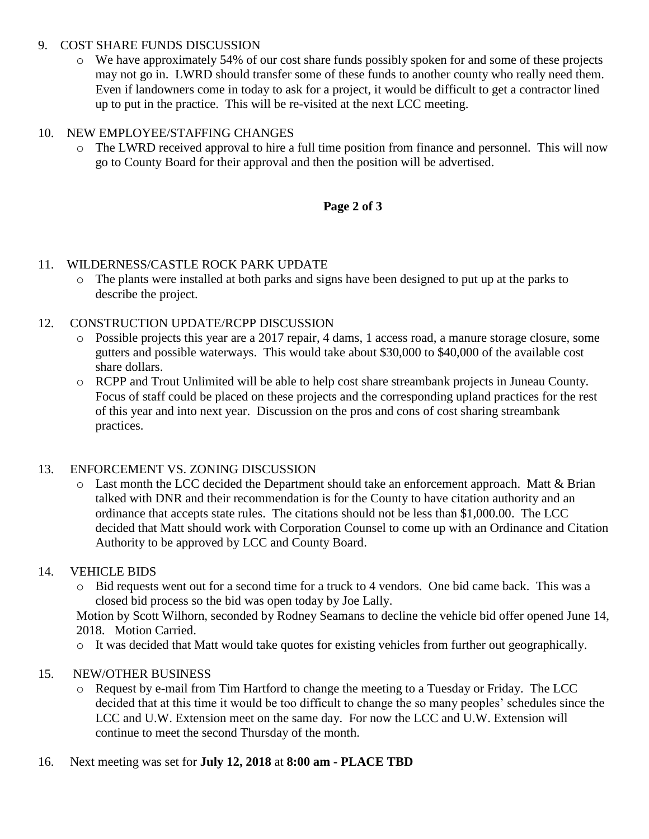#### 9. COST SHARE FUNDS DISCUSSION

o We have approximately 54% of our cost share funds possibly spoken for and some of these projects may not go in. LWRD should transfer some of these funds to another county who really need them. Even if landowners come in today to ask for a project, it would be difficult to get a contractor lined up to put in the practice. This will be re-visited at the next LCC meeting.

# 10. NEW EMPLOYEE/STAFFING CHANGES

o The LWRD received approval to hire a full time position from finance and personnel. This will now go to County Board for their approval and then the position will be advertised.

# **Page 2 of 3**

## 11. WILDERNESS/CASTLE ROCK PARK UPDATE

o The plants were installed at both parks and signs have been designed to put up at the parks to describe the project.

## 12. CONSTRUCTION UPDATE/RCPP DISCUSSION

- o Possible projects this year are a 2017 repair, 4 dams, 1 access road, a manure storage closure, some gutters and possible waterways. This would take about \$30,000 to \$40,000 of the available cost share dollars.
- o RCPP and Trout Unlimited will be able to help cost share streambank projects in Juneau County. Focus of staff could be placed on these projects and the corresponding upland practices for the rest of this year and into next year. Discussion on the pros and cons of cost sharing streambank practices.

# 13. ENFORCEMENT VS. ZONING DISCUSSION

o Last month the LCC decided the Department should take an enforcement approach. Matt & Brian talked with DNR and their recommendation is for the County to have citation authority and an ordinance that accepts state rules. The citations should not be less than \$1,000.00. The LCC decided that Matt should work with Corporation Counsel to come up with an Ordinance and Citation Authority to be approved by LCC and County Board.

#### 14. VEHICLE BIDS

o Bid requests went out for a second time for a truck to 4 vendors. One bid came back. This was a closed bid process so the bid was open today by Joe Lally.

Motion by Scott Wilhorn, seconded by Rodney Seamans to decline the vehicle bid offer opened June 14, 2018. Motion Carried.

o It was decided that Matt would take quotes for existing vehicles from further out geographically.

#### 15. NEW/OTHER BUSINESS

o Request by e-mail from Tim Hartford to change the meeting to a Tuesday or Friday. The LCC decided that at this time it would be too difficult to change the so many peoples' schedules since the LCC and U.W. Extension meet on the same day. For now the LCC and U.W. Extension will continue to meet the second Thursday of the month.

#### 16. Next meeting was set for **July 12, 2018** at **8:00 am - PLACE TBD**